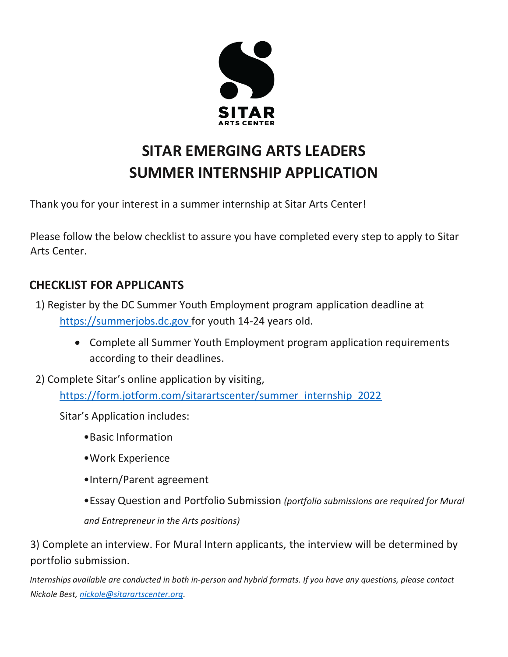

# **SITAR EMERGING ARTS LEADERS SUMMER INTERNSHIP APPLICATION**

Thank you for your interest in a summer internship at Sitar Arts Center!

Please follow the below checklist to assure you have completed every step to apply to Sitar Arts Center.

## **CHECKLIST FOR APPLICANTS**

- 1) Register by the DC Summer Youth Employment program application deadline at [https://summerjobs.dc.gov](https://summerjobs.dc.gov/) for youth 14-24 years old.
	- Complete all Summer Youth Employment program application requirements according to their deadlines.
- 2) Complete Sitar's online application by visiting, [https://form.jotform.com/sitarartscenter/summer\\_internship\\_2022](https://form.jotform.com/sitarartscenter/summer_internship_2022)

Sitar's Application includes:

- •Basic Information
- •Work Experience
- •Intern/Parent agreement
- •Essay Question and Portfolio Submission *(portfolio submissions are required for Mural and Entrepreneur in the Arts positions)*

3) Complete an interview. For Mural Intern applicants, the interview will be determined by portfolio submission.

*Internships available are conducted in both in-person and hybrid formats. If you have any questions, please contact Nickole Best, [nickole@sitarartscenter.org.](mailto:nickole@sitarartscenter.org)*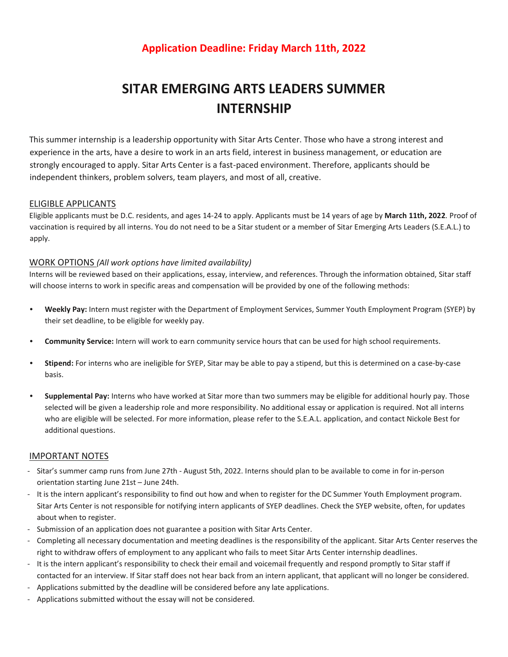## **Application Deadline: Friday March 11th, 2022**

# **SITAR EMERGING ARTS LEADERS SUMMER INTERNSHIP**

This summer internship is a leadership opportunity with Sitar Arts Center. Those who have a strong interest and experience in the arts, have a desire to work in an arts field, interest in business management, or education are strongly encouraged to apply. Sitar Arts Center is a fast-paced environment. Therefore, applicants should be independent thinkers, problem solvers, team players, and most of all, creative.

### ELIGIBLE APPLICANTS

Eligible applicants must be D.C. residents, and ages 14-24 to apply. Applicants must be 14 years of age by **March 11th, 2022**. Proof of vaccination is required by all interns. You do not need to be a Sitar student or a member of Sitar Emerging Arts Leaders (S.E.A.L.) to apply.

#### WORK OPTIONS *(All work options have limited availability)*

Interns will be reviewed based on their applications, essay, interview, and references. Through the information obtained, Sitar staff will choose interns to work in specific areas and compensation will be provided by one of the following methods:

- **• Weekly Pay:** Intern must register with the Department of Employment Services, Summer Youth Employment Program (SYEP) by their set deadline, to be eligible for weekly pay.
- **• Community Service:** Intern will work to earn community service hours that can be used for high school requirements.
- **• Stipend:** For interns who are ineligible for SYEP, Sitar may be able to pay a stipend, but this is determined on a case-by-case basis.
- **• Supplemental Pay:** Interns who have worked at Sitar more than two summers may be eligible for additional hourly pay. Those selected will be given a leadership role and more responsibility. No additional essay or application is required. Not all interns who are eligible will be selected. For more information, please refer to the S.E.A.L. application, and contact Nickole Best for additional questions.

### IMPORTANT NOTES

- Sitar's summer camp runs from June 27th August 5th, 2022. Interns should plan to be available to come in for in-person orientation starting June 21st – June 24th.
- It is the intern applicant's responsibility to find out how and when to register for the DC Summer Youth Employment program. Sitar Arts Center is not responsible for notifying intern applicants of SYEP deadlines. Check the SYEP website, often, for updates about when to register.
- Submission of an application does not guarantee a position with Sitar Arts Center.
- Completing all necessary documentation and meeting deadlines is the responsibility of the applicant. Sitar Arts Center reserves the right to withdraw offers of employment to any applicant who fails to meet Sitar Arts Center internship deadlines.
- It is the intern applicant's responsibility to check their email and voicemail frequently and respond promptly to Sitar staff if contacted for an interview. If Sitar staff does not hear back from an intern applicant, that applicant will no longer be considered.
- Applications submitted by the deadline will be considered before any late applications.
- Applications submitted without the essay will not be considered.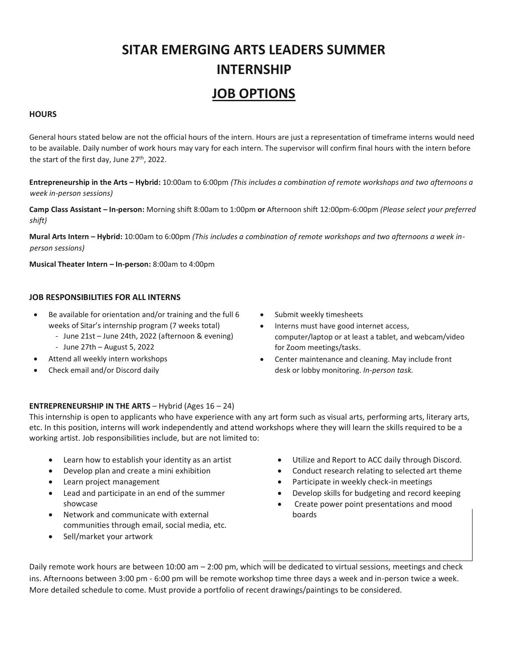# **SITAR EMERGING ARTS LEADERS SUMMER INTERNSHIP JOB OPTIONS**

#### **HOURS**

General hours stated below are not the official hours of the intern. Hours are just a representation of timeframe interns would need to be available. Daily number of work hours may vary for each intern. The supervisor will confirm final hours with the intern before the start of the first day, June 27<sup>th</sup>, 2022.

**Entrepreneurship in the Arts – Hybrid:** 10:00am to 6:00pm *(This includes a combination of remote workshops and two afternoons a week in-person sessions)*

**Camp Class Assistant – In-person:** Morning shift 8:00am to 1:00pm **or** Afternoon shift 12:00pm-6:00pm *(Please select your preferred shift)*

**Mural Arts Intern – Hybrid:** 10:00am to 6:00pm *(This includes a combination of remote workshops and two afternoons a week inperson sessions)*

**Musical Theater Intern – In-person:** 8:00am to 4:00pm

#### **JOB RESPONSIBILITIES FOR ALL INTERNS**

- Be available for orientation and/or training and the full 6 weeks of Sitar's internship program (7 weeks total)
	- June 21st June 24th, 2022 (afternoon & evening)
	- June 27th August 5, 2022
- Attend all weekly intern workshops
- Check email and/or Discord daily
- Submit weekly timesheets
- Interns must have good internet access, computer/laptop or at least a tablet, and webcam/video for Zoom meetings/tasks.
- Center maintenance and cleaning. May include front desk or lobby monitoring. *In-person task.*

### **ENTREPRENEURSHIP IN THE ARTS** – Hybrid (Ages 16 – 24)

This internship is open to applicants who have experience with any art form such as visual arts, performing arts, literary arts, etc. In this position, interns will work independently and attend workshops where they will learn the skills required to be a working artist. Job responsibilities include, but are not limited to:

- Learn how to establish your identity as an artist
- Develop plan and create a mini exhibition
- Learn project management
- Lead and participate in an end of the summer showcase
- Network and communicate with external boards boards communities through email, social media, etc.
- Sell/market your artwork
- Utilize and Report to ACC daily through Discord.
- Conduct research relating to selected art theme
- Participate in weekly check-in meetings
- Develop skills for budgeting and record keeping
- Create power point presentations and mood

Daily remote work hours are between 10:00 am – 2:00 pm, which will be dedicated to virtual sessions, meetings and check ins. Afternoons between 3:00 pm - 6:00 pm will be remote workshop time three days a week and in-person twice a week. More detailed schedule to come. Must provide a portfolio of recent drawings/paintings to be considered.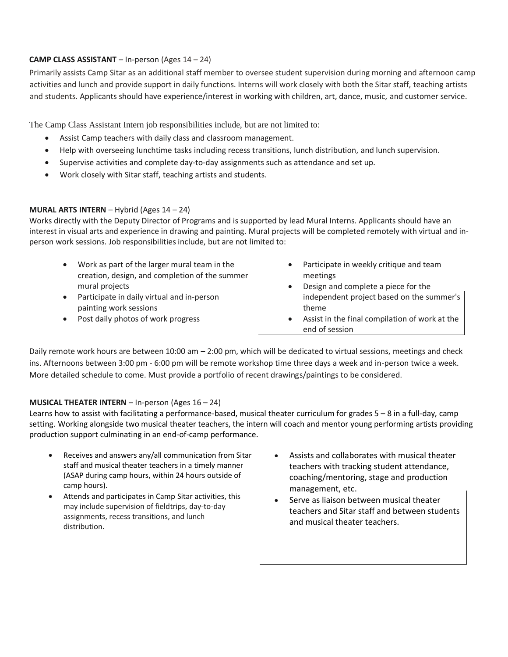### **CAMP CLASS ASSISTANT** – In-person (Ages 14 – 24)

Primarily assists Camp Sitar as an additional staff member to oversee student supervision during morning and afternoon camp activities and lunch and provide support in daily functions. Interns will work closely with both the Sitar staff, teaching artists and students. Applicants should have experience/interest in working with children, art, dance, music, and customer service.

The Camp Class Assistant Intern job responsibilities include, but are not limited to:

- Assist Camp teachers with daily class and classroom management.
- Help with overseeing lunchtime tasks including recess transitions, lunch distribution, and lunch supervision.
- Supervise activities and complete day-to-day assignments such as attendance and set up.
- Work closely with Sitar staff, teaching artists and students.

### **MURAL ARTS INTERN** – Hybrid (Ages 14 – 24)

Works directly with the Deputy Director of Programs and is supported by lead Mural Interns. Applicants should have an interest in visual arts and experience in drawing and painting. Mural projects will be completed remotely with virtual and inperson work sessions. Job responsibilities include, but are not limited to:

- Work as part of the larger mural team in the creation, design, and completion of the summer mural projects
- Participate in daily virtual and in-person painting work sessions
- Post daily photos of work progress
- Participate in weekly critique and team meetings
- Design and complete a piece for the independent project based on the summer's theme
- Assist in the final compilation of work at the end of session

Daily remote work hours are between 10:00 am – 2:00 pm, which will be dedicated to virtual sessions, meetings and check ins. Afternoons between 3:00 pm - 6:00 pm will be remote workshop time three days a week and in-person twice a week. More detailed schedule to come. Must provide a portfolio of recent drawings/paintings to be considered.

### **MUSICAL THEATER INTERN** – In-person (Ages 16 – 24)

Learns how to assist with facilitating a performance-based, musical theater curriculum for grades 5 – 8 in a full-day, camp setting. Working alongside two musical theater teachers, the intern will coach and mentor young performing artists providing production support culminating in an end-of-camp performance.

- Receives and answers any/all communication from Sitar staff and musical theater teachers in a timely manner (ASAP during camp hours, within 24 hours outside of camp hours).
- Attends and participates in Camp Sitar activities, this may include supervision of fieldtrips, day-to-day assignments, recess transitions, and lunch distribution.
- Assists and collaborates with musical theater teachers with tracking student attendance, coaching/mentoring, stage and production management, etc.
- Serve as liaison between musical theater teachers and Sitar staff and between students and musical theater teachers.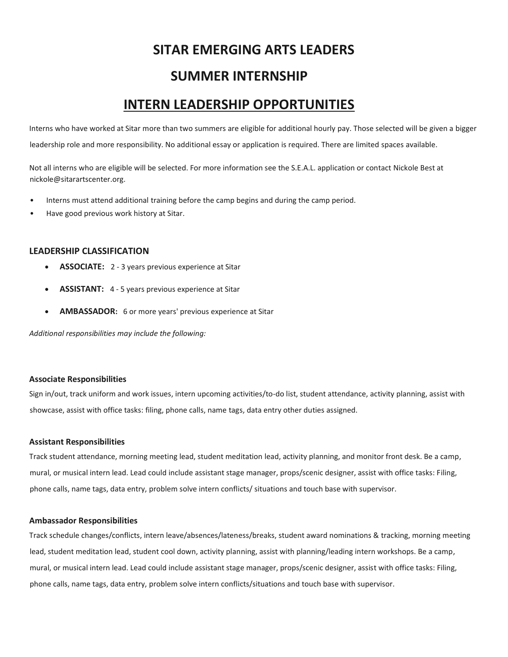## **SITAR EMERGING ARTS LEADERS**

## **SUMMER INTERNSHIP**

## **INTERN LEADERSHIP OPPORTUNITIES**

Interns who have worked at Sitar more than two summers are eligible for additional hourly pay. Those selected will be given a bigger leadership role and more responsibility. No additional essay or application is required. There are limited spaces available.

Not all interns who are eligible will be selected. For more information see the S.E.A.L. application or contact Nickole Best at nickole@sitarartscenter.org.

- Interns must attend additional training before the camp begins and during the camp period.
- Have good previous work history at Sitar.

#### **LEADERSHIP CLASSIFICATION**

- **ASSOCIATE:** 2 3 years previous experience at Sitar
- **ASSISTANT:** 4 5 years previous experience at Sitar
- **AMBASSADOR:** 6 or more years' previous experience at Sitar

*Additional responsibilities may include the following:* 

#### **Associate Responsibilities**

Sign in/out, track uniform and work issues, intern upcoming activities/to-do list, student attendance, activity planning, assist with showcase, assist with office tasks: filing, phone calls, name tags, data entry other duties assigned.

#### **Assistant Responsibilities**

Track student attendance, morning meeting lead, student meditation lead, activity planning, and monitor front desk. Be a camp, mural, or musical intern lead. Lead could include assistant stage manager, props/scenic designer, assist with office tasks: Filing, phone calls, name tags, data entry, problem solve intern conflicts/ situations and touch base with supervisor.

#### **Ambassador Responsibilities**

Track schedule changes/conflicts, intern leave/absences/lateness/breaks, student award nominations & tracking, morning meeting lead, student meditation lead, student cool down, activity planning, assist with planning/leading intern workshops. Be a camp, mural, or musical intern lead. Lead could include assistant stage manager, props/scenic designer, assist with office tasks: Filing, phone calls, name tags, data entry, problem solve intern conflicts/situations and touch base with supervisor.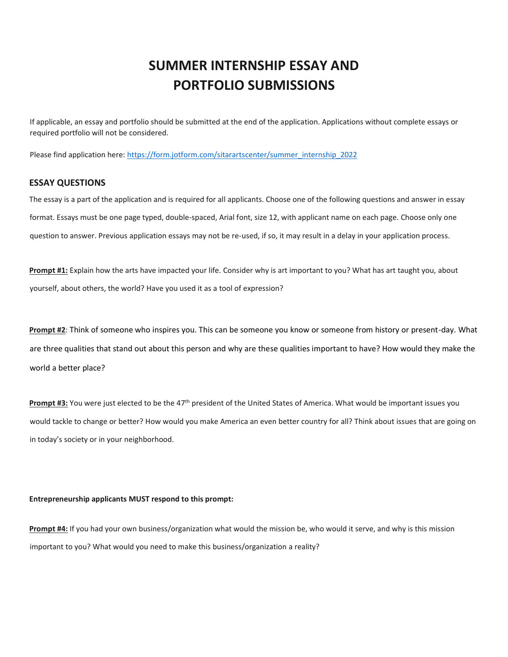## **SUMMER INTERNSHIP ESSAY AND PORTFOLIO SUBMISSIONS**

If applicable, an essay and portfolio should be submitted at the end of the application. Applications without complete essays or required portfolio will not be considered.

Please find application here: [https://form.jotform.com/sitarartscenter/summer\\_internship\\_2022](https://form.jotform.com/sitarartscenter/summer_internship_2022)

#### **ESSAY QUESTIONS**

The essay is a part of the application and is required for all applicants. Choose one of the following questions and answer in essay format. Essays must be one page typed, double-spaced, Arial font, size 12, with applicant name on each page. Choose only one question to answer. Previous application essays may not be re-used, if so, it may result in a delay in your application process.

**Prompt #1:** Explain how the arts have impacted your life. Consider why is art important to you? What has art taught you, about yourself, about others, the world? Have you used it as a tool of expression?

**Prompt #2**: Think of someone who inspires you. This can be someone you know or someone from history or present-day. What are three qualities that stand out about this person and why are these qualities important to have? How would they make the world a better place?

**Prompt #3:** You were just elected to be the 47<sup>th</sup> president of the United States of America. What would be important issues you would tackle to change or better? How would you make America an even better country for all? Think about issues that are going on in today's society or in your neighborhood.

#### **Entrepreneurship applicants MUST respond to this prompt:**

**Prompt #4:** If you had your own business/organization what would the mission be, who would it serve, and why is this mission important to you? What would you need to make this business/organization a reality?